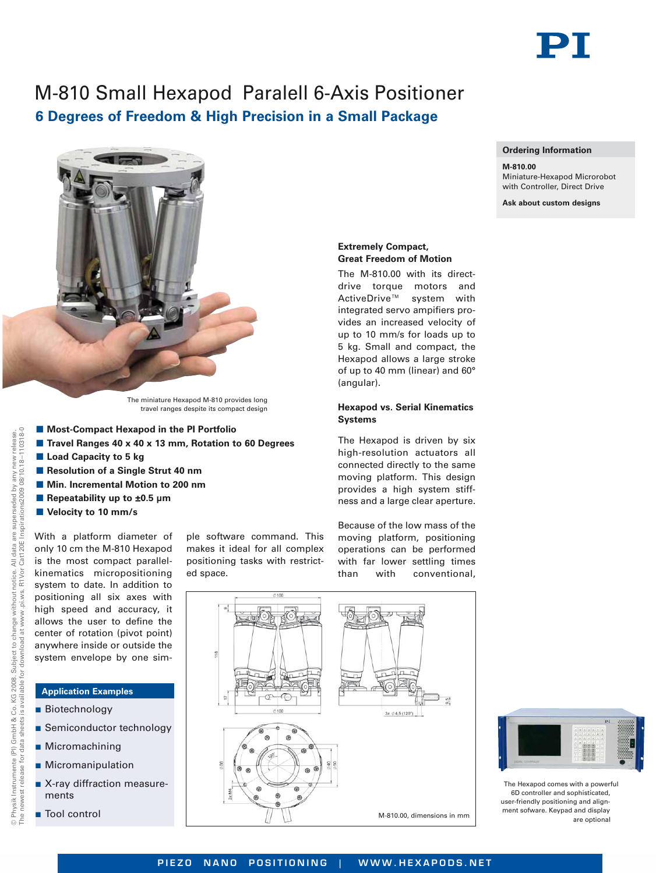

**Ordering Information**

Miniature-Hexapod Microrobot with Controller, Direct Drive **Ask about custom designs**

**M-810.00**

# M-810 Small Hexapod Paralell 6-Axis Positioner **6 Degrees of Freedom & High Precision in a Small Package**



The miniature Hexapod M-810 provides long travel ranges despite its compact design

- Most-Compact Hexapod in the PI Portfolio
- **Travel Ranges 40 x 40 x 13 mm, Rotation to 60 Degrees**
- **E** Load Capacity to 5 kg
- **Resolution of a Single Strut 40 nm**
- $\blacksquare$  **Min. Incremental Motion to 200 nm**
- Repeatability up to ±0.5 µm
- **No Velocity to 10 mm/s**

--110318-0

With a platform diameter of only 10 cm the M-810 Hexapod is the most compact parallelkinematics micropositioning system to date. In addition to positioning all six axes with high speed and accuracy, it allows the user to define the center of rotation (pivot point) anywhere inside or outside the system envelope by one sim-

## **Application Examples**

- **Biotechnology**
- **B** Semiconductor technology
- Micromachining
- **B** Micromanipulation
- X-ray diffraction measurements
- Tool control

ple software command. This makes it ideal for all complex positioning tasks with restricted space.

## **Extremely Compact, Great Freedom of Motion**

The M-810.00 with its directdrive torque motors and ActiveDrive™ system with integrated servo ampifiers provides an increased velocity of up to 10 mm/s for loads up to 5 kg. Small and compact, the Hexapod allows a large stroke of up to 40 mm (linear) and 60° (angular).

## **Hexapod vs. Serial Kinematics Systems**

The Hexapod is driven by six high-resolution actuators all connected directly to the same moving platform. This design provides a high system stiffness and a large clear aperture.

Because of the low mass of the moving platform, positioning operations can be performed with far lower settling times than with conventional,





The Hexapod comes with a powerful 6D controller and sophisticated, user-friendly positioning and alignment sofware. Keypad and display are optional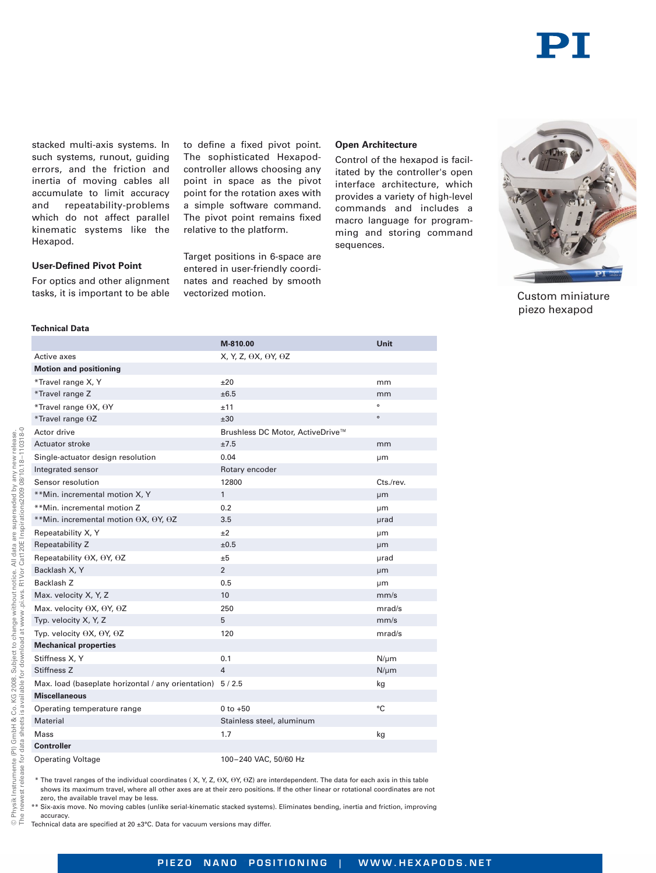

stacked multi-axis systems. In such systems, runout, quiding errors, and the friction and inertia of moving cables all accumulate to limit accuracy and repeatability-problems which do not affect parallel kinematic systems like the Hexapod.

to define a fixed pivot point. The sophisticated Hexapodcontroller allows choosing any point in space as the pivot point for the rotation axes with a simple software command. The pivot point remains fixed relative to the platform.

Target positions in 6-space are entered in user-friendly coordinates and reached by smooth vectorized motion.

### **Open Architecture**

Control of the hexapod is facilitated by the controller's open interface architecture, which provides a variety of high-level commands and includes a macro language for programming and storing command sequences.



piezo hexapod Custom miniature

**User-Defined Pivot Point** For optics and other alignment tasks, it is important to be able

| Technical Data |
|----------------|
|----------------|

|                                                            | M-810.00                                | <b>Unit</b> |
|------------------------------------------------------------|-----------------------------------------|-------------|
| Active axes                                                | $X, Y, Z, \Theta X, \Theta Y, \Theta Z$ |             |
| <b>Motion and positioning</b>                              |                                         |             |
| *Travel range X, Y                                         | ±20                                     | mm          |
| *Travel range Z                                            | ±6.5                                    | mm          |
| *Travel range OX, OY                                       | ±11                                     | ۰           |
| *Travel range $\Theta Z$                                   | ±30                                     | $\circ$     |
| Actor drive                                                | Brushless DC Motor, ActiveDrive™        |             |
| Actuator stroke                                            | ±7.5                                    | mm          |
| Single-actuator design resolution                          | 0.04                                    | μm          |
| Integrated sensor                                          | Rotary encoder                          |             |
| Sensor resolution                                          | 12800                                   | Cts./rev.   |
| **Min. incremental motion X, Y                             | $\mathbf{1}$                            | μm          |
| **Min. incremental motion Z                                | 0.2                                     | μm          |
| **Min. incremental motion θΧ, θΥ, θΖ                       | 3.5                                     | µrad        |
| Repeatability X, Y                                         | $+2$                                    | μm          |
| Repeatability Z                                            | ±0.5                                    | μm          |
| Repeatability $\Theta$ X, $\Theta$ Y, $\Theta$ Z           | ±5                                      | µrad        |
| Backlash X, Y                                              | $\overline{2}$                          | μm          |
| Backlash <sub>Z</sub>                                      | 0.5                                     | μm          |
| Max. velocity X, Y, Z                                      | 10                                      | mm/s        |
| Max. velocity $\Theta$ X, $\Theta$ Y, $\Theta$ Z           | 250                                     | mrad/s      |
| Typ. velocity X, Y, Z                                      | 5                                       | mm/s        |
| Typ. velocity $\Theta$ X, $\Theta$ Y, $\Theta$ Z           | 120                                     | mrad/s      |
| <b>Mechanical properties</b>                               |                                         |             |
| Stiffness X, Y                                             | 0.1                                     | $N/\mu m$   |
| Stiffness Z                                                | $\overline{4}$                          | $N/\mu m$   |
| Max. load (baseplate horizontal / any orientation) 5 / 2.5 |                                         | kg          |
| <b>Miscellaneous</b>                                       |                                         |             |
| Operating temperature range                                | $0$ to $+50$                            | °C          |
| Material                                                   | Stainless steel, aluminum               |             |
| Mass                                                       | 1.7                                     | kg          |
| <b>Controller</b>                                          |                                         |             |
| <b>Operating Voltage</b>                                   | 100-240 VAC, 50/60 Hz                   |             |
|                                                            |                                         |             |

 $*$  The travel ranges of the individual coordinates ( X, Y, Z,  $\Theta$ X,  $\Theta$ Y,  $\Theta$ Z) are interdependent. The data for each axis in this table shows its maximum travel, where all other axes are at their zero positions. If the other linear or rotational coordinates are not zero, the available travel may be less.

Six-axis move. No moving cables (unlike serial-kinematic stacked systems). Eliminates bending, inertia and friction, improving accuracy.

Technical data are specified at 20 ±3°C. Data for vacuum versions may differ.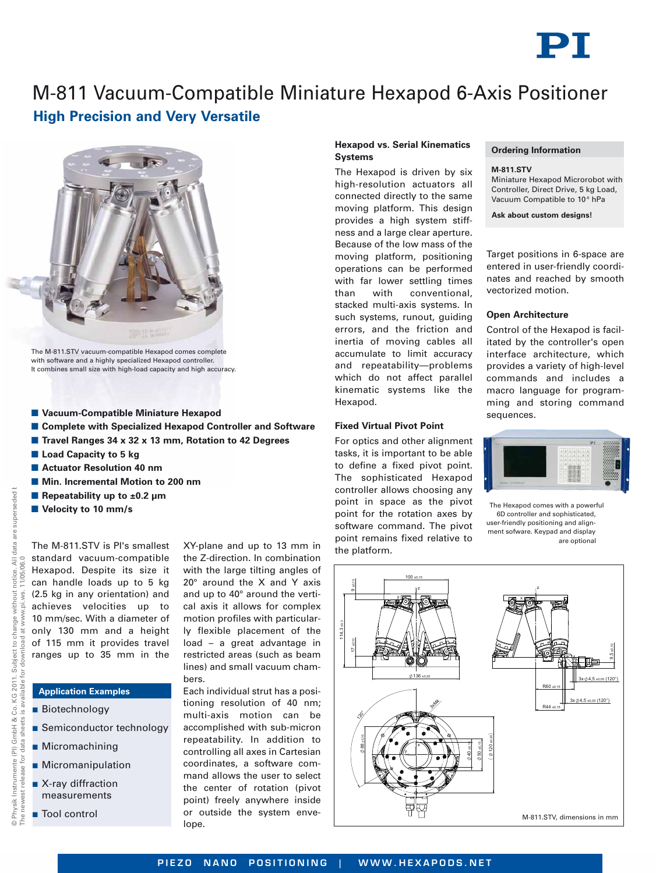

# M-811 Vacuum-Compatible Miniature Hexapod 6-Axis Positioner **High Precision and Very Versatile**



The M-811.STV vacuum-compatible Hexapod comes complete with software and a highly specialized Hexapod controller. It combines small size with high-load capacity and high accuracy.

- **Vacuum-Compatible Miniature Hexapod**
- **E** Complete with Specialized Hexapod Controller and Software
- **E** Travel Ranges 34 x 32 x 13 mm, Rotation to 42 Degrees
- **E** Load Capacity to 5 kg
- **E** Actuator Resolution 40 nm
- $\blacksquare$  **Min. Incremental Motion to 200 nm**
- **Repeatability up to ±0.2 μm**
- **No Velocity to 10 mm/s**

superseded **t** 

The M-811.STV is PI's smallest standard vacuum-compatible Hexapod. Despite its size it can handle loads up to 5 kg (2.5 kg in any orientation) and achieves velocities up to 10 mm/sec. With a diameter of only 130 mm and a height of 115 mm it provides travel ranges up to 35 mm in the

## **Application Examples**

- **Biotechnology**
- **Semiconductor technology**
- Micromachining
- **Micromanipulation**
- X-ray diffraction measurements
- Tool control

XY-plane and up to 13 mm in the Z-direction. In combination with the large tilting angles of 20° around the X and Y axis and up to 40° around the vertical axis it allows for complex motion profiles with particularly flexible placement of the load – a great advantage in restricted areas (such as beam lines) and small vacuum chambers.

Each individual strut has a positioning resolution of 40 nm; multi-axis motion can be accomplished with sub-micron repeatability. In addition to controlling all axes in Cartesian coordinates, a software command allows the user to select the center of rotation (pivot point) freely anywhere inside lope.

## **Hexapod vs. Serial Kinematics Systems**

The Hexapod is driven by six high-resolution actuators all connected directly to the same moving platform. This design provides a high system stiffness and a large clear aperture. Because of the low mass of the moving platform, positioning operations can be performed with far lower settling times than with conventional, stacked multi-axis systems. In such systems, runout, guiding errors, and the friction and inertia of moving cables all accumulate to limit accuracy and repeatability—problems which do not affect parallel kinematic systems like the Hexapod.

## **Fixed Virtual Pivot Point**

For optics and other alignment tasks, it is important to be able to define a fixed pivot point. The sophisticated Hexapod controller allows choosing any point in space as the pivot point for the rotation axes by software command. The pivot point remains fixed relative to the platform.

### **Ordering Information**

### **M-811.STV**

Miniature Hexapod Microrobot with Controller, Direct Drive, 5 kg Load, Vacuum Compatible to 10<sup>-6</sup> hPa

**Ask about custom designs!**

Target positions in 6-space are entered in user-friendly coordinates and reached by smooth vectorized motion.

## **Open Architecture**

Control of the Hexapod is facilitated by the controller's open interface architecture, which provides a variety of high-level commands and includes a macro language for programming and storing command sequences.



The Hexapod comes with a powerful 6D controller and sophisticated, user-friendly positioning and alignment sofware. Keypad and display are optional

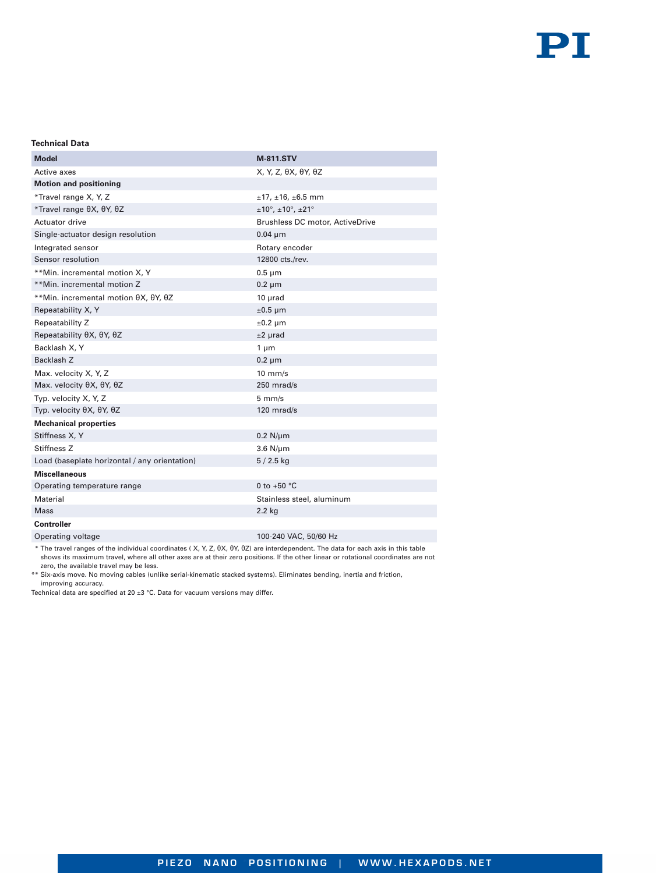## **Technical Data**

| <b>Model</b>                                  | M-811.STV                                              |
|-----------------------------------------------|--------------------------------------------------------|
| Active axes                                   | X, Y, Z, θX, θY, θZ                                    |
| <b>Motion and positioning</b>                 |                                                        |
| *Travel range X, Y, Z                         | $±17, ±16, ±6.5$ mm                                    |
| *Travel range θX, θY, θZ                      | $\pm 10^{\circ}$ , $\pm 10^{\circ}$ , $\pm 21^{\circ}$ |
| Actuator drive                                | Brushless DC motor, ActiveDrive                        |
| Single-actuator design resolution             | $0.04 \mu m$                                           |
| Integrated sensor                             | Rotary encoder                                         |
| Sensor resolution                             | 12800 cts./rev.                                        |
| **Min. incremental motion X, Y                | $0.5 \mu m$                                            |
| **Min. incremental motion Z                   | $0.2 \mu m$                                            |
| **Min. incremental motion θΧ, θΥ, θΖ          | $10$ $\mu$ rad                                         |
| Repeatability X, Y                            | $±0.5 \mu m$                                           |
| Repeatability Z                               | $\pm 0.2 \mu$ m                                        |
| Repeatability θΧ, θΥ, θΖ                      | $±2$ µrad                                              |
| Backlash X, Y                                 | $1 \mu m$                                              |
| Backlash <sub>Z</sub>                         | $0.2 \mu m$                                            |
| Max. velocity X, Y, Z                         | $10$ mm/s                                              |
| Max. velocity θX, θY, θZ                      | 250 mrad/s                                             |
| Typ. velocity X, Y, Z                         | $5 \text{ mm/s}$                                       |
| Typ. velocity θX, θY, θZ                      | 120 mrad/s                                             |
| <b>Mechanical properties</b>                  |                                                        |
| Stiffness X, Y                                | $0.2$ N/ $\mu$ m                                       |
| Stiffness <sub>Z</sub>                        | $3.6$ N/ $\mu$ m                                       |
| Load (baseplate horizontal / any orientation) | $5/2.5$ kg                                             |
| <b>Miscellaneous</b>                          |                                                        |
| Operating temperature range                   | 0 to +50 $^{\circ}$ C                                  |
| Material                                      | Stainless steel, aluminum                              |
| <b>Mass</b>                                   | $2.2$ kg                                               |
| Controller                                    |                                                        |
| Operating voltage                             | 100-240 VAC, 50/60 Hz                                  |

\* The travel ranges of the individual coordinates ( X, Y, Z, θX, θY, θZ) are interdependent. The data for each axis in this table shows its maximum travel, where all other axes are at their zero positions. If the other linear or rotational coordinates are not zero, the available travel may be less.

\*\* Six-axis move. No moving cables (unlike serial-kinematic stacked systems). Eliminates bending, inertia and friction, improving accuracy.

Technical data are specified at 20  $\pm 3$  °C. Data for vacuum versions may differ.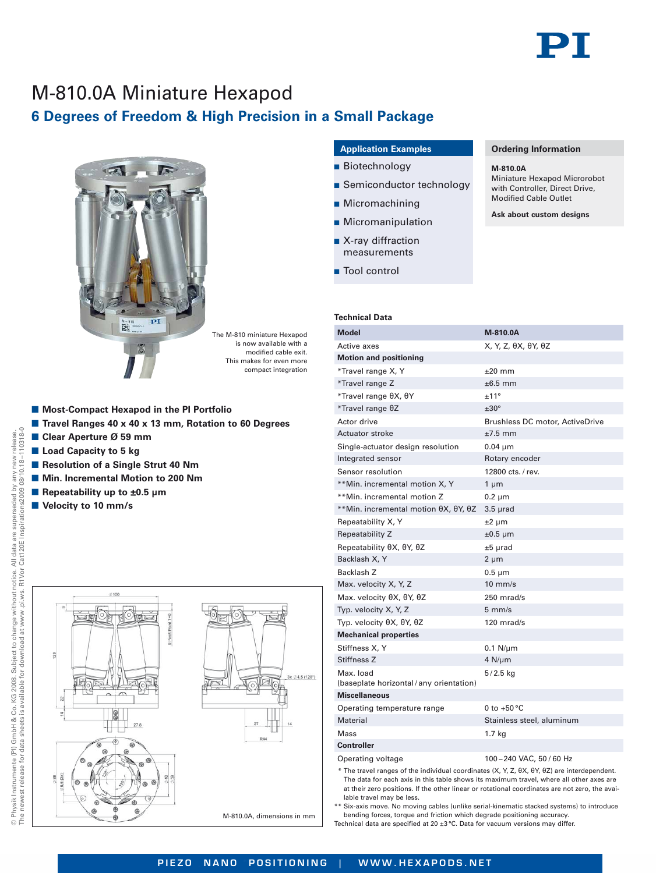

**Ordering Information**

Miniature Hexapod Microrobot with Controller, Direct Drive, Modified Cable Outlet **Ask about custom designs**

**M-810.0A**

# M-810.0A Miniature Hexapod **6 Degrees of Freedom & High Precision in a Small Package**



The M-810 miniature Hexapod is now available with a modified cable exit. This makes for even more compact integration

- Most-Compact Hexapod in the PI Portfolio
- Travel Ranges 40 x 40 x 13 mm, Rotation to 60 Degrees
- Clear Aperture Ø 59 mm
- **E** Load Capacity to 5 kg
- **Resolution of a Single Strut 40 Nm**
- $\blacksquare$  **Min. Incremental Motion to 200 Nm**
- Repeatability up to ±0.5 µm
- **No Velocity to 10 mm/s**



## **Application Examples**

- Biotechnology
- **B** Semiconductor technology
- Micromachining
- **B** Micromanipulation
- X-ray diffraction measurements
- Tool control

## **Technical Data**

| Model                                               | M-810.0A                        |
|-----------------------------------------------------|---------------------------------|
| Active axes                                         | X, Y, Z, θX, θY, θZ             |
| <b>Motion and positioning</b>                       |                                 |
| *Travel range X, Y                                  | $±20$ mm                        |
| *Travel range Z                                     | $\pm 6.5$ mm                    |
| *Travel range θX, θY                                | ±11°                            |
| *Travel range θZ                                    | $±30^{\circ}$                   |
| Actor drive                                         | Brushless DC motor, ActiveDrive |
| Actuator stroke                                     | $±7.5$ mm                       |
| Single-actuator design resolution                   | $0.04 \mu m$                    |
| Integrated sensor                                   | Rotary encoder                  |
| Sensor resolution                                   | 12800 cts. / rev.               |
| **Min. incremental motion X, Y                      | 1 µm                            |
| **Min. incremental motion Z                         | $0.2 \mu m$                     |
| **Min. incremental motion θΧ, θΥ, θΖ                | $3.5 \mu rad$                   |
| Repeatability X, Y                                  | $±2 \mu m$                      |
| Repeatability Z                                     | $\pm 0.5$ µm                    |
| Repeatability θX, θY, θZ                            | $±5$ µrad                       |
| Backlash X, Y                                       | $2 \mu m$                       |
| Backlash Z                                          | $0.5 \mu m$                     |
| Max. velocity X, Y, Z                               | $10$ mm/s                       |
| Max. velocity θX, θY, θZ                            | $250$ mrad/s                    |
| Typ. velocity X, Y, Z                               | $5 \text{ mm/s}$                |
| Typ. velocity θX, θY, θZ                            | $120$ mrad/s                    |
| <b>Mechanical properties</b>                        |                                 |
| Stiffness X, Y                                      | $0.1$ N/ $\mu$ m                |
| Stiffness <sub>Z</sub>                              | $4$ N/ $\mu$ m                  |
| Max. load<br>(baseplate horizontal/any orientation) | $5/2.5$ kg                      |
| Miscellaneous                                       |                                 |
| Operating temperature range                         | 0 to $+50$ °C                   |
| Material                                            | Stainless steel, aluminum       |
| Mass                                                | 1.7 kg                          |
| <b>Controller</b>                                   |                                 |
| Operating voltage                                   | 100-240 VAC, 50 / 60 Hz         |

\* The travel ranges of the individual coordinates (X, Y, Z, θX, θY, θZ) are interdependent. The data for each axis in this table shows its maximum travel, where all other axes are at their zero positions. If the other linear or rotational coordinates are not zero, the available travel may be less.

\*\* Six-axis move. No moving cables (unlike serial-kinematic stacked systems) to introduce bending forces, torque and friction which degrade positioning accuracy. Technical data are specified at 20 ±3 °C. Data for vacuum versions may differ.

--110318-0

release.<br>110318-0 new<br>.18any n<br>38/10.1  $38/1$